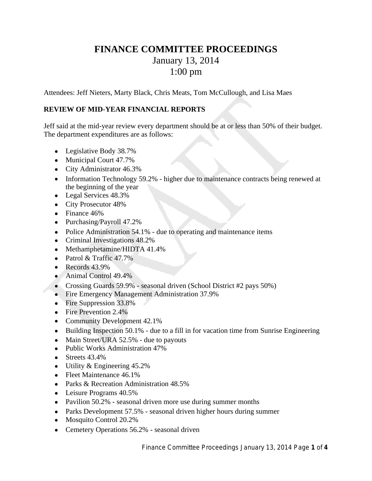# **FINANCE COMMITTEE PROCEEDINGS** January 13, 2014 1:00 pm

Attendees: Jeff Nieters, Marty Black, Chris Meats, Tom McCullough, and Lisa Maes

## **REVIEW OF MID-YEAR FINANCIAL REPORTS**

Jeff said at the mid-year review every department should be at or less than 50% of their budget. The department expenditures are as follows:

- Legislative Body 38.7%
- Municipal Court 47.7%
- City Administrator 46.3%
- Information Technology 59.2% higher due to maintenance contracts being renewed at the beginning of the year
- Legal Services 48.3%
- City Prosecutor 48%
- Finance 46%
- Purchasing/Payroll 47.2%
- Police Administration 54.1% due to operating and maintenance items
- Criminal Investigations 48.2%
- Methamphetamine/HIDTA 41.4%
- Patrol  $&$  Traffic 47.7%
- $\bullet$  Records 43.9%
- Animal Control 49.4%
- Crossing Guards 59.9% seasonal driven (School District #2 pays 50%)
- Fire Emergency Management Administration 37.9%
- Fire Suppression 33.8%
- Fire Prevention 2.4%
- Community Development 42.1%
- Building Inspection 50.1% due to a fill in for vacation time from Sunrise Engineering
- Main Street/URA 52.5% due to payouts
- Public Works Administration 47%
- $\bullet$  Streets 43.4%
- Utility & Engineering 45.2%
- Fleet Maintenance 46.1%
- Parks & Recreation Administration 48.5%
- Leisure Programs 40.5%
- Pavilion 50.2% seasonal driven more use during summer months
- Parks Development 57.5% seasonal driven higher hours during summer
- Mosquito Control 20.2%
- Cemetery Operations 56.2% seasonal driven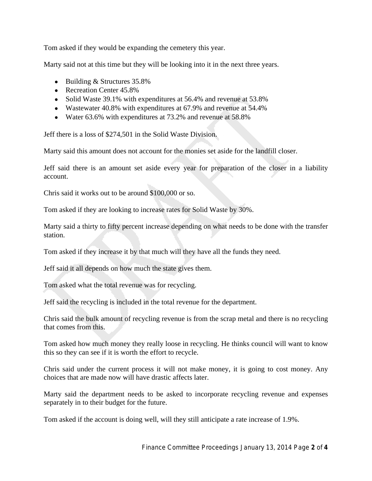Tom asked if they would be expanding the cemetery this year.

Marty said not at this time but they will be looking into it in the next three years.

- Building & Structures 35.8%
- Recreation Center 45.8%
- Solid Waste 39.1% with expenditures at 56.4% and revenue at 53.8%
- Wastewater 40.8% with expenditures at 67.9% and revenue at 54.4%
- Water 63.6% with expenditures at 73.2% and revenue at 58.8%

Jeff there is a loss of \$274,501 in the Solid Waste Division.

Marty said this amount does not account for the monies set aside for the landfill closer.

Jeff said there is an amount set aside every year for preparation of the closer in a liability account.

Chris said it works out to be around \$100,000 or so.

Tom asked if they are looking to increase rates for Solid Waste by 30%.

Marty said a thirty to fifty percent increase depending on what needs to be done with the transfer station.

Tom asked if they increase it by that much will they have all the funds they need.

Jeff said it all depends on how much the state gives them.

Tom asked what the total revenue was for recycling.

Jeff said the recycling is included in the total revenue for the department.

Chris said the bulk amount of recycling revenue is from the scrap metal and there is no recycling that comes from this.

Tom asked how much money they really loose in recycling. He thinks council will want to know this so they can see if it is worth the effort to recycle.

Chris said under the current process it will not make money, it is going to cost money. Any choices that are made now will have drastic affects later.

Marty said the department needs to be asked to incorporate recycling revenue and expenses separately in to their budget for the future.

Tom asked if the account is doing well, will they still anticipate a rate increase of 1.9%.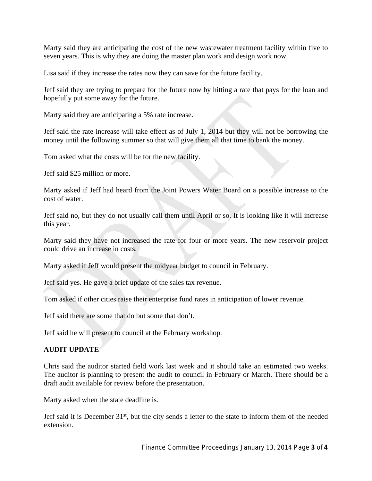Marty said they are anticipating the cost of the new wastewater treatment facility within five to seven years. This is why they are doing the master plan work and design work now.

Lisa said if they increase the rates now they can save for the future facility.

Jeff said they are trying to prepare for the future now by hitting a rate that pays for the loan and hopefully put some away for the future.

Marty said they are anticipating a 5% rate increase.

Jeff said the rate increase will take effect as of July 1, 2014 but they will not be borrowing the money until the following summer so that will give them all that time to bank the money.

Tom asked what the costs will be for the new facility.

Jeff said \$25 million or more.

Marty asked if Jeff had heard from the Joint Powers Water Board on a possible increase to the cost of water.

Jeff said no, but they do not usually call them until April or so. It is looking like it will increase this year.

Marty said they have not increased the rate for four or more years. The new reservoir project could drive an increase in costs.

Marty asked if Jeff would present the midyear budget to council in February.

Jeff said yes. He gave a brief update of the sales tax revenue.

Tom asked if other cities raise their enterprise fund rates in anticipation of lower revenue.

Jeff said there are some that do but some that don't.

Jeff said he will present to council at the February workshop.

## **AUDIT UPDATE**

Chris said the auditor started field work last week and it should take an estimated two weeks. The auditor is planning to present the audit to council in February or March. There should be a draft audit available for review before the presentation.

Marty asked when the state deadline is.

Jeff said it is December 31<sup>st</sup>, but the city sends a letter to the state to inform them of the needed extension.